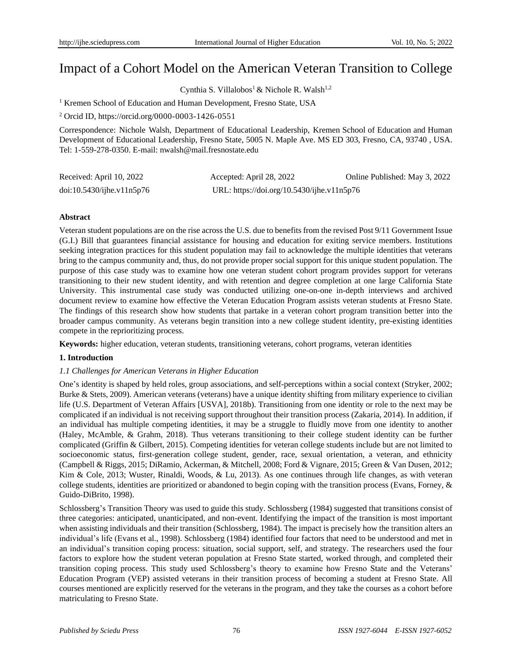# Impact of a Cohort Model on the American Veteran Transition to College

Cynthia S. Villalobos<sup>1</sup> & Nichole R. Walsh<sup>1,2</sup>

<sup>1</sup> Kremen School of Education and Human Development, Fresno State, USA

<sup>2</sup> Orcid ID[, https://orcid.org/0000-0003-1426-0551](https://orcid.org/0000-0003-1426-0551)

Correspondence: Nichole Walsh, Department of Educational Leadership, Kremen School of Education and Human Development of Educational Leadership, Fresno State, 5005 N. Maple Ave. MS ED 303, Fresno, CA, 93740 , USA. Tel: 1-559-278-0350. E-mail: nwalsh@mail.fresnostate.edu

| Received: April 10, 2022        | Accepted: April 28, 2022                   | Online Published: May 3, 2022 |
|---------------------------------|--------------------------------------------|-------------------------------|
| $doi:10.5430/ij$ he.v $11n5p76$ | URL: https://doi.org/10.5430/ijhe.v11n5p76 |                               |

### **Abstract**

Veteran student populations are on the rise across the U.S. due to benefits from the revised Post 9/11 Government Issue (G.I.) Bill that guarantees financial assistance for housing and education for exiting service members. Institutions seeking integration practices for this student population may fail to acknowledge the multiple identities that veterans bring to the campus community and, thus, do not provide proper social support for this unique student population. The purpose of this case study was to examine how one veteran student cohort program provides support for veterans transitioning to their new student identity, and with retention and degree completion at one large California State University. This instrumental case study was conducted utilizing one-on-one in-depth interviews and archived document review to examine how effective the Veteran Education Program assists veteran students at Fresno State. The findings of this research show how students that partake in a veteran cohort program transition better into the broader campus community. As veterans begin transition into a new college student identity, pre-existing identities compete in the reprioritizing process.

**Keywords:** higher education, veteran students, transitioning veterans, cohort programs, veteran identities

# **1. Introduction**

### *1.1 Challenges for American Veterans in Higher Education*

One's identity is shaped by held roles, group associations, and self-perceptions within a social context (Stryker, 2002; Burke & Stets, 2009). American veterans (veterans) have a unique identity shifting from military experience to civilian life (U.S. Department of Veteran Affairs [USVA], 2018b). Transitioning from one identity or role to the next may be complicated if an individual is not receiving support throughout their transition process (Zakaria, 2014). In addition, if an individual has multiple competing identities, it may be a struggle to fluidly move from one identity to another (Haley, McAmble, & Grahm, 2018). Thus veterans transitioning to their college student identity can be further complicated (Griffin & Gilbert, 2015). Competing identities for veteran college students include but are not limited to socioeconomic status, first-generation college student, gender, race, sexual orientation, a veteran, and ethnicity (Campbell & Riggs, 2015; DiRamio, Ackerman, & Mitchell, 2008; Ford & Vignare, 2015; Green & Van Dusen, 2012; Kim & Cole, 2013; Wuster, Rinaldi, Woods, & Lu, 2013). As one continues through life changes, as with veteran college students, identities are prioritized or abandoned to begin coping with the transition process (Evans, Forney, & Guido-DiBrito, 1998).

Schlossberg's Transition Theory was used to guide this study. Schlossberg (1984) suggested that transitions consist of three categories: anticipated, unanticipated, and non-event. Identifying the impact of the transition is most important when assisting individuals and their transition (Schlossberg, 1984). The impact is precisely how the transition alters an individual's life (Evans et al., 1998). Schlossberg (1984) identified four factors that need to be understood and met in an individual's transition coping process: situation, social support, self, and strategy. The researchers used the four factors to explore how the student veteran population at Fresno State started, worked through, and completed their transition coping process. This study used Schlossberg's theory to examine how Fresno State and the Veterans' Education Program (VEP) assisted veterans in their transition process of becoming a student at Fresno State. All courses mentioned are explicitly reserved for the veterans in the program, and they take the courses as a cohort before matriculating to Fresno State.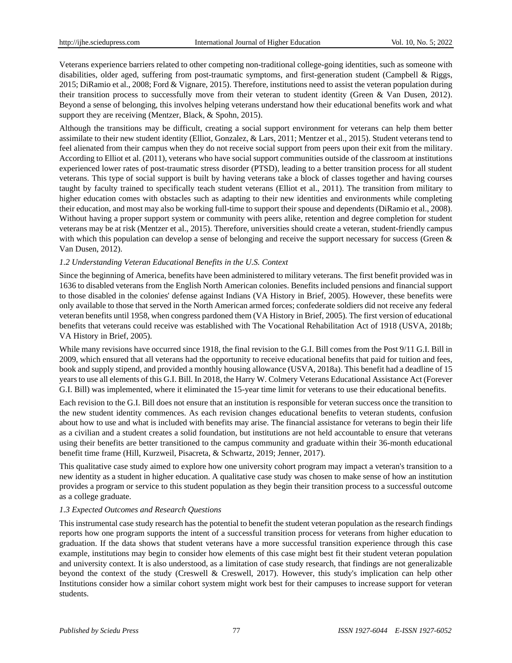Veterans experience barriers related to other competing non-traditional college-going identities, such as someone with disabilities, older aged, suffering from post-traumatic symptoms, and first-generation student (Campbell & Riggs, 2015; DiRamio et al., 2008; Ford & Vignare, 2015). Therefore, institutions need to assist the veteran population during their transition process to successfully move from their veteran to student identity (Green & Van Dusen, 2012). Beyond a sense of belonging, this involves helping veterans understand how their educational benefits work and what support they are receiving (Mentzer, Black, & Spohn, 2015).

Although the transitions may be difficult, creating a social support environment for veterans can help them better assimilate to their new student identity (Elliot, Gonzalez, & Lars, 2011; Mentzer et al., 2015). Student veterans tend to feel alienated from their campus when they do not receive social support from peers upon their exit from the military. According to Elliot et al. (2011), veterans who have social support communities outside of the classroom at institutions experienced lower rates of post-traumatic stress disorder (PTSD), leading to a better transition process for all student veterans. This type of social support is built by having veterans take a block of classes together and having courses taught by faculty trained to specifically teach student veterans (Elliot et al., 2011). The transition from military to higher education comes with obstacles such as adapting to their new identities and environments while completing their education, and most may also be working full-time to support their spouse and dependents (DiRamio et al., 2008). Without having a proper support system or community with peers alike, retention and degree completion for student veterans may be at risk (Mentzer et al., 2015). Therefore, universities should create a veteran, student-friendly campus with which this population can develop a sense of belonging and receive the support necessary for success (Green & Van Dusen, 2012).

### *1.2 Understanding Veteran Educational Benefits in the U.S. Context*

Since the beginning of America, benefits have been administered to military veterans. The first benefit provided was in 1636 to disabled veterans from the English North American colonies. Benefits included pensions and financial support to those disabled in the colonies' defense against Indians (VA History in Brief, 2005). However, these benefits were only available to those that served in the North American armed forces; confederate soldiers did not receive any federal veteran benefits until 1958, when congress pardoned them (VA History in Brief, 2005). The first version of educational benefits that veterans could receive was established with The Vocational Rehabilitation Act of 1918 (USVA, 2018b; VA History in Brief, 2005).

While many revisions have occurred since 1918, the final revision to the G.I. Bill comes from the Post 9/11 G.I. Bill in 2009, which ensured that all veterans had the opportunity to receive educational benefits that paid for tuition and fees, book and supply stipend, and provided a monthly housing allowance (USVA, 2018a). This benefit had a deadline of 15 years to use all elements of this G.I. Bill. In 2018, the Harry W. Colmery Veterans Educational Assistance Act (Forever G.I. Bill) was implemented, where it eliminated the 15-year time limit for veterans to use their educational benefits.

Each revision to the G.I. Bill does not ensure that an institution is responsible for veteran success once the transition to the new student identity commences. As each revision changes educational benefits to veteran students, confusion about how to use and what is included with benefits may arise. The financial assistance for veterans to begin their life as a civilian and a student creates a solid foundation, but institutions are not held accountable to ensure that veterans using their benefits are better transitioned to the campus community and graduate within their 36-month educational benefit time frame (Hill, Kurzweil, Pisacreta, & Schwartz, 2019; Jenner, 2017).

This qualitative case study aimed to explore how one university cohort program may impact a veteran's transition to a new identity as a student in higher education. A qualitative case study was chosen to make sense of how an institution provides a program or service to this student population as they begin their transition process to a successful outcome as a college graduate.

# *1.3 Expected Outcomes and Research Questions*

This instrumental case study research has the potential to benefit the student veteran population as the research findings reports how one program supports the intent of a successful transition process for veterans from higher education to graduation. If the data shows that student veterans have a more successful transition experience through this case example, institutions may begin to consider how elements of this case might best fit their student veteran population and university context. It is also understood, as a limitation of case study research, that findings are not generalizable beyond the context of the study (Creswell & Creswell, 2017). However, this study's implication can help other Institutions consider how a similar cohort system might work best for their campuses to increase support for veteran students.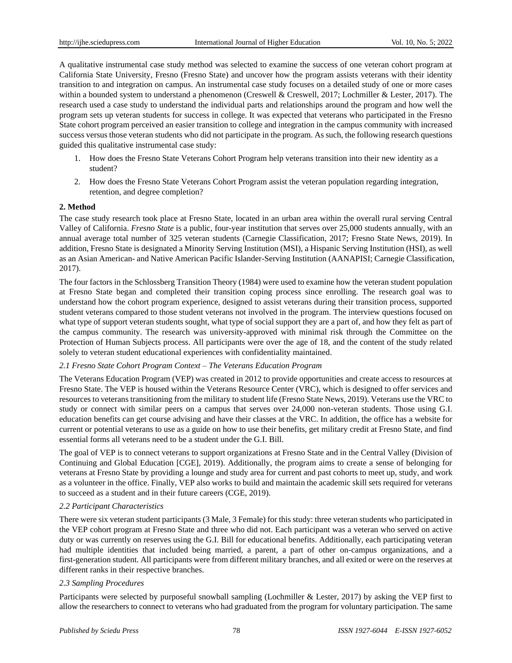A qualitative instrumental case study method was selected to examine the success of one veteran cohort program at California State University, Fresno (Fresno State) and uncover how the program assists veterans with their identity transition to and integration on campus. An instrumental case study focuses on a detailed study of one or more cases within a bounded system to understand a phenomenon (Creswell & Creswell, 2017; Lochmiller & Lester, 2017). The research used a case study to understand the individual parts and relationships around the program and how well the program sets up veteran students for success in college. It was expected that veterans who participated in the Fresno State cohort program perceived an easier transition to college and integration in the campus community with increased success versus those veteran students who did not participate in the program. As such, the following research questions guided this qualitative instrumental case study:

- 1. How does the Fresno State Veterans Cohort Program help veterans transition into their new identity as a student?
- 2. How does the Fresno State Veterans Cohort Program assist the veteran population regarding integration, retention, and degree completion?

# **2. Method**

The case study research took place at Fresno State, located in an urban area within the overall rural serving Central Valley of California. *Fresno State* is a public, four-year institution that serves over 25,000 students annually, with an annual average total number of 325 veteran students (Carnegie Classification, 2017; Fresno State News, 2019). In addition, Fresno State is designated a Minority Serving Institution (MSI), a Hispanic Serving Institution (HSI), as well as an Asian American- and Native American Pacific Islander-Serving Institution (AANAPISI; Carnegie Classification, 2017).

The four factors in the Schlossberg Transition Theory (1984) were used to examine how the veteran student population at Fresno State began and completed their transition coping process since enrolling. The research goal was to understand how the cohort program experience, designed to assist veterans during their transition process, supported student veterans compared to those student veterans not involved in the program. The interview questions focused on what type of support veteran students sought, what type of social support they are a part of, and how they felt as part of the campus community. The research was university-approved with minimal risk through the Committee on the Protection of Human Subjects process. All participants were over the age of 18, and the content of the study related solely to veteran student educational experiences with confidentiality maintained.

# *2.1 Fresno State Cohort Program Context – The Veterans Education Program*

The Veterans Education Program (VEP) was created in 2012 to provide opportunities and create access to resources at Fresno State. The VEP is housed within the Veterans Resource Center (VRC), which is designed to offer services and resources to veterans transitioning from the military to student life (Fresno State News, 2019). Veterans use the VRC to study or connect with similar peers on a campus that serves over 24,000 non-veteran students. Those using G.I. education benefits can get course advising and have their classes at the VRC. In addition, the office has a website for current or potential veterans to use as a guide on how to use their benefits, get military credit at Fresno State, and find essential forms all veterans need to be a student under the G.I. Bill.

The goal of VEP is to connect veterans to support organizations at Fresno State and in the Central Valley (Division of Continuing and Global Education [CGE], 2019). Additionally, the program aims to create a sense of belonging for veterans at Fresno State by providing a lounge and study area for current and past cohorts to meet up, study, and work as a volunteer in the office. Finally, VEP also works to build and maintain the academic skill sets required for veterans to succeed as a student and in their future careers (CGE, 2019).

# *2.2 Participant Characteristics*

There were six veteran student participants (3 Male, 3 Female) for this study: three veteran students who participated in the VEP cohort program at Fresno State and three who did not. Each participant was a veteran who served on active duty or was currently on reserves using the G.I. Bill for educational benefits. Additionally, each participating veteran had multiple identities that included being married, a parent, a part of other on-campus organizations, and a first-generation student. All participants were from different military branches, and all exited or were on the reserves at different ranks in their respective branches.

# *2.3 Sampling Procedures*

Participants were selected by purposeful snowball sampling (Lochmiller & Lester, 2017) by asking the VEP first to allow the researchers to connect to veterans who had graduated from the program for voluntary participation. The same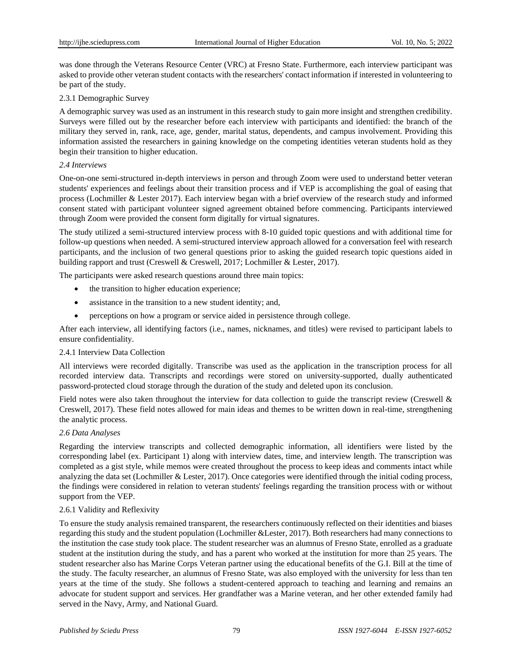was done through the Veterans Resource Center (VRC) at Fresno State. Furthermore, each interview participant was asked to provide other veteran student contacts with the researchers' contact information if interested in volunteering to be part of the study.

## 2.3.1 Demographic Survey

A demographic survey was used as an instrument in this research study to gain more insight and strengthen credibility. Surveys were filled out by the researcher before each interview with participants and identified: the branch of the military they served in, rank, race, age, gender, marital status, dependents, and campus involvement. Providing this information assisted the researchers in gaining knowledge on the competing identities veteran students hold as they begin their transition to higher education.

### *2.4 Interviews*

One-on-one semi-structured in-depth interviews in person and through Zoom were used to understand better veteran students' experiences and feelings about their transition process and if VEP is accomplishing the goal of easing that process (Lochmiller & Lester 2017). Each interview began with a brief overview of the research study and informed consent stated with participant volunteer signed agreement obtained before commencing. Participants interviewed through Zoom were provided the consent form digitally for virtual signatures.

The study utilized a semi-structured interview process with 8-10 guided topic questions and with additional time for follow-up questions when needed. A semi-structured interview approach allowed for a conversation feel with research participants, and the inclusion of two general questions prior to asking the guided research topic questions aided in building rapport and trust (Creswell & Creswell, 2017; Lochmiller & Lester, 2017).

The participants were asked research questions around three main topics:

- the transition to higher education experience;
- assistance in the transition to a new student identity; and,
- perceptions on how a program or service aided in persistence through college.

After each interview, all identifying factors (i.e., names, nicknames, and titles) were revised to participant labels to ensure confidentiality.

### 2.4.1 Interview Data Collection

All interviews were recorded digitally. Transcribe was used as the application in the transcription process for all recorded interview data. Transcripts and recordings were stored on university-supported, dually authenticated password-protected cloud storage through the duration of the study and deleted upon its conclusion.

Field notes were also taken throughout the interview for data collection to guide the transcript review (Creswell & Creswell, 2017). These field notes allowed for main ideas and themes to be written down in real-time, strengthening the analytic process.

### *2.6 Data Analyses*

Regarding the interview transcripts and collected demographic information, all identifiers were listed by the corresponding label (ex. Participant 1) along with interview dates, time, and interview length. The transcription was completed as a gist style, while memos were created throughout the process to keep ideas and comments intact while analyzing the data set (Lochmiller & Lester, 2017). Once categories were identified through the initial coding process, the findings were considered in relation to veteran students' feelings regarding the transition process with or without support from the VEP.

### 2.6.1 Validity and Reflexivity

To ensure the study analysis remained transparent, the researchers continuously reflected on their identities and biases regarding this study and the student population (Lochmiller &Lester, 2017). Both researchers had many connections to the institution the case study took place. The student researcher was an alumnus of Fresno State, enrolled as a graduate student at the institution during the study, and has a parent who worked at the institution for more than 25 years. The student researcher also has Marine Corps Veteran partner using the educational benefits of the G.I. Bill at the time of the study. The faculty researcher, an alumnus of Fresno State, was also employed with the university for less than ten years at the time of the study. She follows a student-centered approach to teaching and learning and remains an advocate for student support and services. Her grandfather was a Marine veteran, and her other extended family had served in the Navy, Army, and National Guard.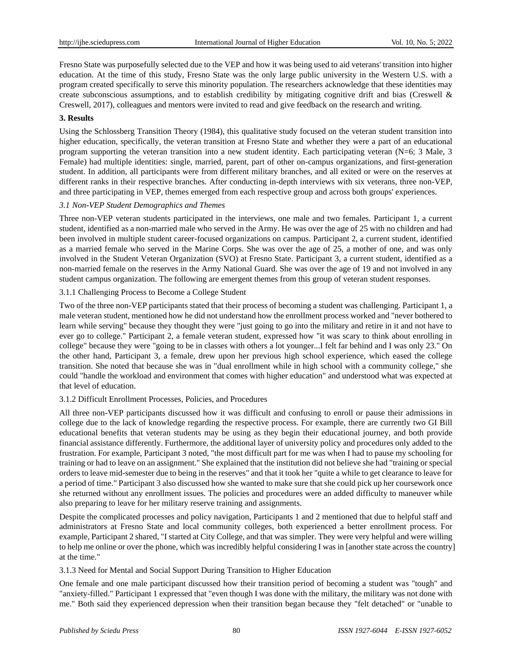Fresno State was purposefully selected due to the VEP and how it was being used to aid veterans' transition into higher education. At the time of this study, Fresno State was the only large public university in the Western U.S. with a program created specifically to serve this minority population. The researchers acknowledge that these identities may create subconscious assumptions, and to establish credibility by mitigating cognitive drift and bias (Creswell & Creswell, 2017), colleagues and mentors were invited to read and give feedback on the research and writing.

# **3. Results**

Using the Schlossberg Transition Theory (1984), this qualitative study focused on the veteran student transition into higher education, specifically, the veteran transition at Fresno State and whether they were a part of an educational program supporting the veteran transition into a new student identity. Each participating veteran (N=6; 3 Male, 3 Female) had multiple identities: single, married, parent, part of other on-campus organizations, and first-generation student. In addition, all participants were from different military branches, and all exited or were on the reserves at different ranks in their respective branches. After conducting in-depth interviews with six veterans, three non-VEP, and three participating in VEP, themes emerged from each respective group and across both groups' experiences.

# *3.1 Non-VEP Student Demographics and Themes*

Three non-VEP veteran students participated in the interviews, one male and two females. Participant 1, a current student, identified as a non-married male who served in the Army. He was over the age of 25 with no children and had been involved in multiple student career-focused organizations on campus. Participant 2, a current student, identified as a married female who served in the Marine Corps. She was over the age of 25, a mother of one, and was only involved in the Student Veteran Organization (SVO) at Fresno State. Participant 3, a current student, identified as a non-married female on the reserves in the Army National Guard. She was over the age of 19 and not involved in any student campus organization. The following are emergent themes from this group of veteran student responses.

# 3.1.1 Challenging Process to Become a College Student

Two of the three non-VEP participants stated that their process of becoming a student was challenging. Participant 1, a male veteran student, mentioned how he did not understand how the enrollment process worked and "never bothered to learn while serving" because they thought they were "just going to go into the military and retire in it and not have to ever go to college." Participant 2, a female veteran student, expressed how "it was scary to think about enrolling in college" because they were "going to be in classes with others a lot younger...I felt far behind and I was only 23." On the other hand, Participant 3, a female, drew upon her previous high school experience, which eased the college transition. She noted that because she was in "dual enrollment while in high school with a community college," she could "handle the workload and environment that comes with higher education" and understood what was expected at that level of education.

# 3.1.2 Difficult Enrollment Processes, Policies, and Procedures

All three non-VEP participants discussed how it was difficult and confusing to enroll or pause their admissions in college due to the lack of knowledge regarding the respective process. For example, there are currently two GI Bill educational benefits that veteran students may be using as they begin their educational journey, and both provide financial assistance differently. Furthermore, the additional layer of university policy and procedures only added to the frustration. For example, Participant 3 noted, "the most difficult part for me was when I had to pause my schooling for training or had to leave on an assignment." She explained that the institution did not believe she had "training or special orders to leave mid-semester due to being in the reserves" and that it took her "quite a while to get clearance to leave for a period of time." Participant 3 also discussed how she wanted to make sure that she could pick up her coursework once she returned without any enrollment issues. The policies and procedures were an added difficulty to maneuver while also preparing to leave for her military reserve training and assignments.

Despite the complicated processes and policy navigation, Participants 1 and 2 mentioned that due to helpful staff and administrators at Fresno State and local community colleges, both experienced a better enrollment process. For example, Participant 2 shared, "I started at City College, and that was simpler. They were very helpful and were willing to help me online or over the phone, which was incredibly helpful considering I was in [another state across the country] at the time."

3.1.3 Need for Mental and Social Support During Transition to Higher Education

One female and one male participant discussed how their transition period of becoming a student was "tough" and "anxiety-filled." Participant 1 expressed that "even though I was done with the military, the military was not done with me." Both said they experienced depression when their transition began because they "felt detached" or "unable to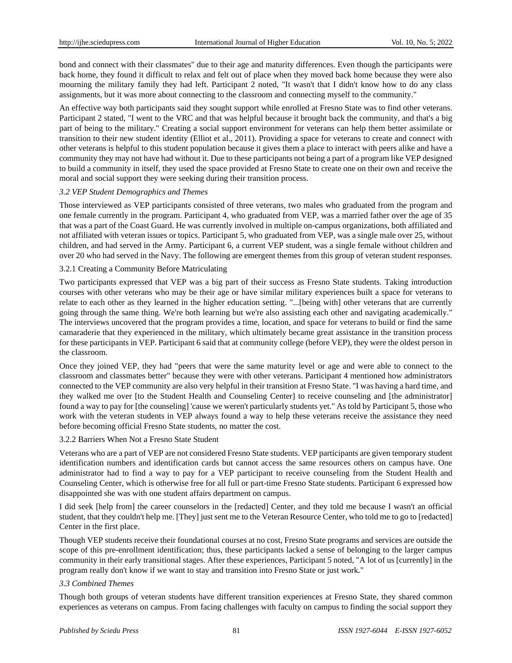bond and connect with their classmates" due to their age and maturity differences. Even though the participants were back home, they found it difficult to relax and felt out of place when they moved back home because they were also mourning the military family they had left. Participant 2 noted, "It wasn't that I didn't know how to do any class assignments, but it was more about connecting to the classroom and connecting myself to the community."

An effective way both participants said they sought support while enrolled at Fresno State was to find other veterans. Participant 2 stated, "I went to the VRC and that was helpful because it brought back the community, and that's a big part of being to the military." Creating a social support environment for veterans can help them better assimilate or transition to their new student identity (Elliot et al., 2011). Providing a space for veterans to create and connect with other veterans is helpful to this student population because it gives them a place to interact with peers alike and have a community they may not have had without it. Due to these participants not being a part of a program like VEP designed to build a community in itself, they used the space provided at Fresno State to create one on their own and receive the moral and social support they were seeking during their transition process.

### *3.2 VEP Student Demographics and Themes*

Those interviewed as VEP participants consisted of three veterans, two males who graduated from the program and one female currently in the program. Participant 4, who graduated from VEP, was a married father over the age of 35 that was a part of the Coast Guard. He was currently involved in multiple on-campus organizations, both affiliated and not affiliated with veteran issues or topics. Participant 5, who graduated from VEP, was a single male over 25, without children, and had served in the Army. Participant 6, a current VEP student, was a single female without children and over 20 who had served in the Navy. The following are emergent themes from this group of veteran student responses.

### 3.2.1 Creating a Community Before Matriculating

Two participants expressed that VEP was a big part of their success as Fresno State students. Taking introduction courses with other veterans who may be their age or have similar military experiences built a space for veterans to relate to each other as they learned in the higher education setting. "...[being with] other veterans that are currently going through the same thing. We're both learning but we're also assisting each other and navigating academically." The interviews uncovered that the program provides a time, location, and space for veterans to build or find the same camaraderie that they experienced in the military, which ultimately became great assistance in the transition process for these participants in VEP. Participant 6 said that at community college (before VEP), they were the oldest person in the classroom.

Once they joined VEP, they had "peers that were the same maturity level or age and were able to connect to the classroom and classmates better" because they were with other veterans. Participant 4 mentioned how administrators connected to the VEP community are also very helpful in their transition at Fresno State. "I was having a hard time, and they walked me over [to the Student Health and Counseling Center] to receive counseling and [the administrator] found a way to pay for [the counseling] 'cause we weren't particularly students yet." As told by Participant 5, those who work with the veteran students in VEP always found a way to help these veterans receive the assistance they need before becoming official Fresno State students, no matter the cost.

### 3.2.2 Barriers When Not a Fresno State Student

Veterans who are a part of VEP are not considered Fresno State students. VEP participants are given temporary student identification numbers and identification cards but cannot access the same resources others on campus have. One administrator had to find a way to pay for a VEP participant to receive counseling from the Student Health and Counseling Center, which is otherwise free for all full or part-time Fresno State students. Participant 6 expressed how disappointed she was with one student affairs department on campus.

I did seek [help from] the career counselors in the [redacted] Center, and they told me because I wasn't an official student, that they couldn't help me. [They] just sent me to the Veteran Resource Center, who told me to go to [redacted] Center in the first place.

Though VEP students receive their foundational courses at no cost, Fresno State programs and services are outside the scope of this pre-enrollment identification; thus, these participants lacked a sense of belonging to the larger campus community in their early transitional stages. After these experiences, Participant 5 noted, "A lot of us [currently] in the program really don't know if we want to stay and transition into Fresno State or just work."

### *3.3 Combined Themes*

Though both groups of veteran students have different transition experiences at Fresno State, they shared common experiences as veterans on campus. From facing challenges with faculty on campus to finding the social support they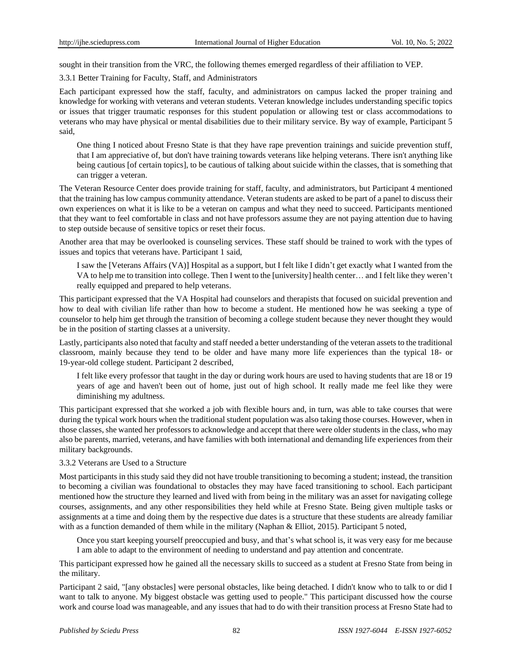sought in their transition from the VRC, the following themes emerged regardless of their affiliation to VEP.

3.3.1 Better Training for Faculty, Staff, and Administrators

Each participant expressed how the staff, faculty, and administrators on campus lacked the proper training and knowledge for working with veterans and veteran students. Veteran knowledge includes understanding specific topics or issues that trigger traumatic responses for this student population or allowing test or class accommodations to veterans who may have physical or mental disabilities due to their military service. By way of example, Participant 5 said,

One thing I noticed about Fresno State is that they have rape prevention trainings and suicide prevention stuff, that I am appreciative of, but don't have training towards veterans like helping veterans. There isn't anything like being cautious [of certain topics], to be cautious of talking about suicide within the classes, that is something that can trigger a veteran.

The Veteran Resource Center does provide training for staff, faculty, and administrators, but Participant 4 mentioned that the training has low campus community attendance. Veteran students are asked to be part of a panel to discuss their own experiences on what it is like to be a veteran on campus and what they need to succeed. Participants mentioned that they want to feel comfortable in class and not have professors assume they are not paying attention due to having to step outside because of sensitive topics or reset their focus.

Another area that may be overlooked is counseling services. These staff should be trained to work with the types of issues and topics that veterans have. Participant 1 said,

I saw the [Veterans Affairs (VA)] Hospital as a support, but I felt like I didn't get exactly what I wanted from the VA to help me to transition into college. Then I went to the [university] health center… and I felt like they weren't really equipped and prepared to help veterans.

This participant expressed that the VA Hospital had counselors and therapists that focused on suicidal prevention and how to deal with civilian life rather than how to become a student. He mentioned how he was seeking a type of counselor to help him get through the transition of becoming a college student because they never thought they would be in the position of starting classes at a university.

Lastly, participants also noted that faculty and staff needed a better understanding of the veteran assets to the traditional classroom, mainly because they tend to be older and have many more life experiences than the typical 18- or 19-year-old college student. Participant 2 described,

I felt like every professor that taught in the day or during work hours are used to having students that are 18 or 19 years of age and haven't been out of home, just out of high school. It really made me feel like they were diminishing my adultness.

This participant expressed that she worked a job with flexible hours and, in turn, was able to take courses that were during the typical work hours when the traditional student population was also taking those courses. However, when in those classes, she wanted her professors to acknowledge and accept that there were older students in the class, who may also be parents, married, veterans, and have families with both international and demanding life experiences from their military backgrounds.

# 3.3.2 Veterans are Used to a Structure

Most participants in this study said they did not have trouble transitioning to becoming a student; instead, the transition to becoming a civilian was foundational to obstacles they may have faced transitioning to school. Each participant mentioned how the structure they learned and lived with from being in the military was an asset for navigating college courses, assignments, and any other responsibilities they held while at Fresno State. Being given multiple tasks or assignments at a time and doing them by the respective due dates is a structure that these students are already familiar with as a function demanded of them while in the military (Naphan & Elliot, 2015). Participant 5 noted,

Once you start keeping yourself preoccupied and busy, and that's what school is, it was very easy for me because I am able to adapt to the environment of needing to understand and pay attention and concentrate.

This participant expressed how he gained all the necessary skills to succeed as a student at Fresno State from being in the military.

Participant 2 said, "[any obstacles] were personal obstacles, like being detached. I didn't know who to talk to or did I want to talk to anyone. My biggest obstacle was getting used to people." This participant discussed how the course work and course load was manageable, and any issues that had to do with their transition process at Fresno State had to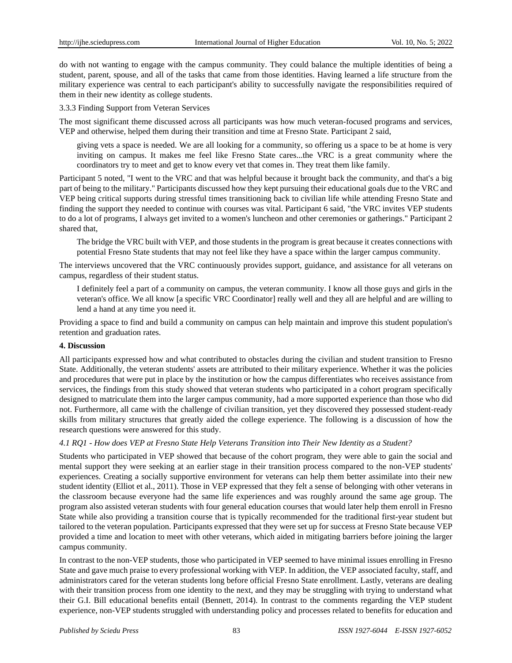do with not wanting to engage with the campus community. They could balance the multiple identities of being a student, parent, spouse, and all of the tasks that came from those identities. Having learned a life structure from the military experience was central to each participant's ability to successfully navigate the responsibilities required of them in their new identity as college students.

3.3.3 Finding Support from Veteran Services

The most significant theme discussed across all participants was how much veteran-focused programs and services, VEP and otherwise, helped them during their transition and time at Fresno State. Participant 2 said,

giving vets a space is needed. We are all looking for a community, so offering us a space to be at home is very inviting on campus. It makes me feel like Fresno State cares...the VRC is a great community where the coordinators try to meet and get to know every vet that comes in. They treat them like family.

Participant 5 noted, "I went to the VRC and that was helpful because it brought back the community, and that's a big part of being to the military." Participants discussed how they kept pursuing their educational goals due to the VRC and VEP being critical supports during stressful times transitioning back to civilian life while attending Fresno State and finding the support they needed to continue with courses was vital. Participant 6 said, "the VRC invites VEP students to do a lot of programs, I always get invited to a women's luncheon and other ceremonies or gatherings." Participant 2 shared that,

The bridge the VRC built with VEP, and those students in the program is great because it creates connections with potential Fresno State students that may not feel like they have a space within the larger campus community.

The interviews uncovered that the VRC continuously provides support, guidance, and assistance for all veterans on campus, regardless of their student status.

I definitely feel a part of a community on campus, the veteran community. I know all those guys and girls in the veteran's office. We all know [a specific VRC Coordinator] really well and they all are helpful and are willing to lend a hand at any time you need it.

Providing a space to find and build a community on campus can help maintain and improve this student population's retention and graduation rates.

### **4. Discussion**

All participants expressed how and what contributed to obstacles during the civilian and student transition to Fresno State. Additionally, the veteran students' assets are attributed to their military experience. Whether it was the policies and procedures that were put in place by the institution or how the campus differentiates who receives assistance from services, the findings from this study showed that veteran students who participated in a cohort program specifically designed to matriculate them into the larger campus community, had a more supported experience than those who did not. Furthermore, all came with the challenge of civilian transition, yet they discovered they possessed student-ready skills from military structures that greatly aided the college experience. The following is a discussion of how the research questions were answered for this study.

### *4.1 RQ1 - How does VEP at Fresno State Help Veterans Transition into Their New Identity as a Student?*

Students who participated in VEP showed that because of the cohort program, they were able to gain the social and mental support they were seeking at an earlier stage in their transition process compared to the non-VEP students' experiences. Creating a socially supportive environment for veterans can help them better assimilate into their new student identity (Elliot et al., 2011). Those in VEP expressed that they felt a sense of belonging with other veterans in the classroom because everyone had the same life experiences and was roughly around the same age group. The program also assisted veteran students with four general education courses that would later help them enroll in Fresno State while also providing a transition course that is typically recommended for the traditional first-year student but tailored to the veteran population. Participants expressed that they were set up for success at Fresno State because VEP provided a time and location to meet with other veterans, which aided in mitigating barriers before joining the larger campus community.

In contrast to the non-VEP students, those who participated in VEP seemed to have minimal issues enrolling in Fresno State and gave much praise to every professional working with VEP. In addition, the VEP associated faculty, staff, and administrators cared for the veteran students long before official Fresno State enrollment. Lastly, veterans are dealing with their transition process from one identity to the next, and they may be struggling with trying to understand what their G.I. Bill educational benefits entail (Bennett, 2014). In contrast to the comments regarding the VEP student experience, non-VEP students struggled with understanding policy and processes related to benefits for education and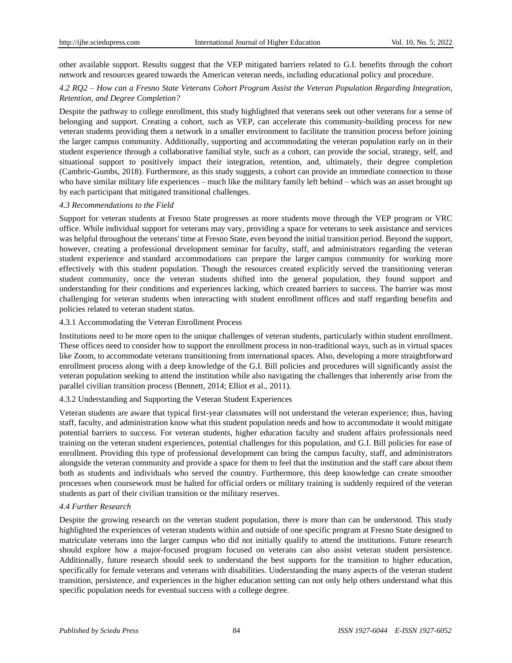other available support. Results suggest that the VEP mitigated barriers related to G.I. benefits through the cohort network and resources geared towards the American veteran needs, including educational policy and procedure.

# *4.2 RQ2 – How can a Fresno State Veterans Cohort Program Assist the Veteran Population Regarding Integration, Retention, and Degree Completion?*

Despite the pathway to college enrollment, this study highlighted that veterans seek out other veterans for a sense of belonging and support. Creating a cohort, such as VEP, can accelerate this community-building process for new veteran students providing them a network in a smaller environment to facilitate the transition process before joining the larger campus community. Additionally, supporting and accommodating the veteran population early on in their student experience through a collaborative familial style, such as a cohort, can provide the social, strategy, self, and situational support to positively impact their integration, retention, and, ultimately, their degree completion (Cambric-Gumbs, 2018). Furthermore, as this study suggests, a cohort can provide an immediate connection to those who have similar military life experiences – much like the military family left behind – which was an asset brought up by each participant that mitigated transitional challenges.

### *4.3 Recommendations to the Field*

Support for veteran students at Fresno State progresses as more students move through the VEP program or VRC office. While individual support for veterans may vary, providing a space for veterans to seek assistance and services was helpful throughout the veterans' time at Fresno State, even beyond the initial transition period. Beyond the support, however, creating a professional development seminar for faculty, staff, and administrators regarding the veteran student experience and standard accommodations can prepare the larger campus community for working more effectively with this student population. Though the resources created explicitly served the transitioning veteran student community, once the veteran students shifted into the general population, they found support and understanding for their conditions and experiences lacking, which created barriers to success. The barrier was most challenging for veteran students when interacting with student enrollment offices and staff regarding benefits and policies related to veteran student status.

### 4.3.1 Accommodating the Veteran Enrollment Process

Institutions need to be more open to the unique challenges of veteran students, particularly within student enrollment. These offices need to consider how to support the enrollment process in non-traditional ways, such as in virtual spaces like Zoom, to accommodate veterans transitioning from international spaces. Also, developing a more straightforward enrollment process along with a deep knowledge of the G.I. Bill policies and procedures will significantly assist the veteran population seeking to attend the institution while also navigating the challenges that inherently arise from the parallel civilian transition process (Bennett, 2014; Elliot et al., 2011).

### 4.3.2 Understanding and Supporting the Veteran Student Experiences

Veteran students are aware that typical first-year classmates will not understand the veteran experience; thus, having staff, faculty, and administration know what this student population needs and how to accommodate it would mitigate potential barriers to success. For veteran students, higher education faculty and student affairs professionals need training on the veteran student experiences, potential challenges for this population, and G.I. Bill policies for ease of enrollment. Providing this type of professional development can bring the campus faculty, staff, and administrators alongside the veteran community and provide a space for them to feel that the institution and the staff care about them both as students and individuals who served the country. Furthermore, this deep knowledge can create smoother processes when coursework must be halted for official orders or military training is suddenly required of the veteran students as part of their civilian transition or the military reserves.

### *4.4 Further Research*

Despite the growing research on the veteran student population, there is more than can be understood. This study highlighted the experiences of veteran students within and outside of one specific program at Fresno State designed to matriculate veterans into the larger campus who did not initially qualify to attend the institutions. Future research should explore how a major-focused program focused on veterans can also assist veteran student persistence. Additionally, future research should seek to understand the best supports for the transition to higher education, specifically for female veterans and veterans with disabilities. Understanding the many aspects of the veteran student transition, persistence, and experiences in the higher education setting can not only help others understand what this specific population needs for eventual success with a college degree.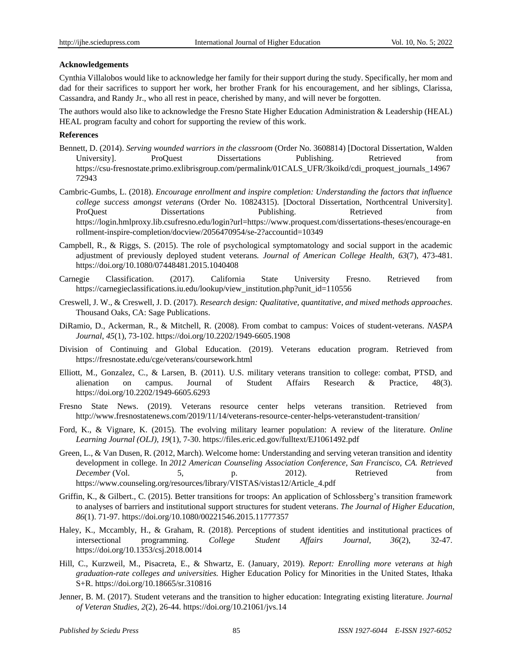### **Acknowledgements**

Cynthia Villalobos would like to acknowledge her family for their support during the study. Specifically, her mom and dad for their sacrifices to support her work, her brother Frank for his encouragement, and her siblings, Clarissa, Cassandra, and Randy Jr., who all rest in peace, cherished by many, and will never be forgotten.

The authors would also like to acknowledge the Fresno State Higher Education Administration & Leadership (HEAL) HEAL program faculty and cohort for supporting the review of this work.

### **References**

- Bennett, D. (2014). *Serving wounded warriors in the classroom* (Order No. 3608814) [Doctoral Dissertation, Walden University]. ProQuest Dissertations Publishing. Retrieved from [https://csu-fresnostate.primo.exlibrisgroup.com/permalink/01CALS\\_UFR/3koikd/cdi\\_proquest\\_journals\\_14967](https://csu-fresnostate.primo.exlibrisgroup.com/permalink/01CALS_UFR/3koikd/cdi_proquest_journals_1496772943) [72943](https://csu-fresnostate.primo.exlibrisgroup.com/permalink/01CALS_UFR/3koikd/cdi_proquest_journals_1496772943)
- Cambric-Gumbs, L. (2018). *Encourage enrollment and inspire completion: Understanding the factors that influence college success amongst veterans* (Order No. 10824315). [Doctoral Dissertation, Northcentral University]. ProQuest Dissertations Publishing. Retrieved from [https://login.hmlproxy.lib.csufresno.edu/login?url=https://www.proquest.com/dissertations-theses/encourage-en](https://login.hmlproxy.lib.csufresno.edu/login?url=https://www.proquest.com/dissertations-theses/encourage-enrollment-inspire-completion/docview/2056470954/se-2?accountid=10349) [rollment-inspire-completion/docview/2056470954/se-2?accountid=10349](https://login.hmlproxy.lib.csufresno.edu/login?url=https://www.proquest.com/dissertations-theses/encourage-enrollment-inspire-completion/docview/2056470954/se-2?accountid=10349)
- Campbell, R., & Riggs, S. (2015). The role of psychological symptomatology and social support in the academic adjustment of previously deployed student veterans*. Journal of American College Health, 63*(7), 473-481. <https://doi.org/10.1080/07448481.2015.1040408>
- Carnegie Classification. (2017). California State University Fresno. Retrieved from [https://carnegieclassifications.iu.edu/lookup/view\\_institution.php?unit\\_id=110556](https://carnegieclassifications.iu.edu/lookup/view_institution.php?unit_id=110556)
- Creswell, J. W., & Creswell, J. D. (2017). *Research design: Qualitative, quantitative, and mixed methods approaches*. Thousand Oaks, CA: Sage Publications.
- DiRamio, D., Ackerman, R., & Mitchell, R. (2008). From combat to campus: Voices of student-veterans. *NASPA Journal, 45*(1), 73-102. <https://doi.org/10.2202/1949-6605.1908>
- Division of Continuing and Global Education. (2019). Veterans education program. Retrieved from <https://fresnostate.edu/cge/veterans/coursework.html>
- Elliott, M., Gonzalez, C., & Larsen, B. (2011). U.S. military veterans transition to college: combat, PTSD, and alienation on campus. Journal of Student Affairs Research & Practice, 48(3). <https://doi.org/10.2202/1949-6605.6293>
- Fresno State News. (2019). Veterans resource center helps veterans transition. Retrieved from <http://www.fresnostatenews.com/2019/11/14/veterans-resource-center-helps-veteranstudent-transition/>
- Ford, K., & Vignare, K. (2015). The evolving military learner population: A review of the literature. *Online Learning Journal (OLJ), 19*(1), 7-30. <https://files.eric.ed.gov/fulltext/EJ1061492.pdf>
- Green, L., & Van Dusen, R. (2012, March). Welcome home: Understanding and serving veteran transition and identity development in college. In *2012 American Counseling Association Conference, San Francisco, CA. Retrieved December* (Vol. 5, 5, 1912). Retrieved from [https://www.counseling.org/resources/library/VISTAS/vistas12/Article\\_4.pdf](https://www.counseling.org/resources/library/VISTAS/vistas12/Article_4.pdf)
- Griffin, K., & Gilbert., C. (2015). Better transitions for troops: An application of Schlossberg's transition framework to analyses of barriers and institutional support structures for student veterans. *The Journal of Higher Education, 86*(1). 71-97. <https://doi.org/10.1080/00221546.2015.11777357>
- Haley, K., Mccambly, H., & Graham, R. (2018). Perceptions of student identities and institutional practices of intersectional programming. *College Student Affairs Journal, 36*(2), 32-47. https://doi.org[/10.1353/csj.2018.0014](https://doi.org/10.1353/csj.2018.0014)
- Hill, C., Kurzweil, M., Pisacreta, E., & Shwartz, E. (January, 2019). *Report: Enrolling more veterans at high graduation-rate colleges and universities.* Higher Education Policy for Minorities in the United States, Ithaka S+R. <https://doi.org/10.18665/sr.310816>
- Jenner, B. M. (2017). Student veterans and the transition to higher education: Integrating existing literature. *Journal of Veteran Studies, 2*(2), 26-44. [https://doi.org/10.21061/jvs.14](https://scholar.google.com/scholar_url?url=https://journal-veterans-studies.org/articles/10.21061/jvs.v2i2.14/galley/14/download/&hl=en&sa=T&oi=gsb-ggp&ct=res&cd=0&d=5424861213390360794&ei=h-VRYoboFseOywSa5rGoDQ&scisig=AAGBfm2i8GE93ie2LhjIv3bYIDbzbryHvA)